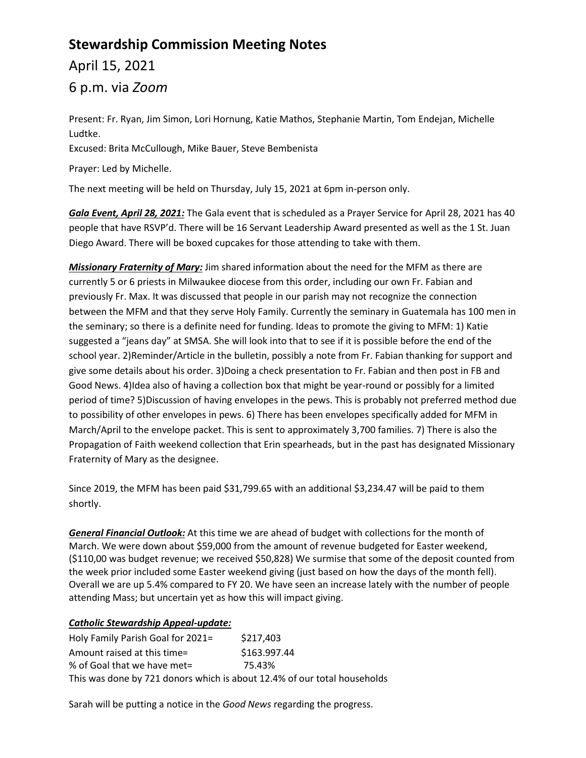# **Stewardship Commission Meeting Notes**

April 15, 2021

6 p.m. via *Zoom*

Present: Fr. Ryan, Jim Simon, Lori Hornung, Katie Mathos, Stephanie Martin, Tom Endejan, Michelle Ludtke.

Excused: Brita McCullough, Mike Bauer, Steve Bembenista

Prayer: Led by Michelle.

The next meeting will be held on Thursday, July 15, 2021 at 6pm in-person only.

*Gala Event, April 28, 2021:* The Gala event that is scheduled as a Prayer Service for April 28, 2021 has 40 people that have RSVP'd. There will be 16 Servant Leadership Award presented as well as the 1 St. Juan Diego Award. There will be boxed cupcakes for those attending to take with them.

*Missionary Fraternity of Mary:* Jim shared information about the need for the MFM as there are currently 5 or 6 priests in Milwaukee diocese from this order, including our own Fr. Fabian and previously Fr. Max. It was discussed that people in our parish may not recognize the connection between the MFM and that they serve Holy Family. Currently the seminary in Guatemala has 100 men in the seminary; so there is a definite need for funding. Ideas to promote the giving to MFM: 1) Katie suggested a "jeans day" at SMSA. She will look into that to see if it is possible before the end of the school year. 2)Reminder/Article in the bulletin, possibly a note from Fr. Fabian thanking for support and give some details about his order. 3)Doing a check presentation to Fr. Fabian and then post in FB and Good News. 4)Idea also of having a collection box that might be year-round or possibly for a limited period of time? 5)Discussion of having envelopes in the pews. This is probably not preferred method due to possibility of other envelopes in pews. 6) There has been envelopes specifically added for MFM in March/April to the envelope packet. This is sent to approximately 3,700 families. 7) There is also the Propagation of Faith weekend collection that Erin spearheads, but in the past has designated Missionary Fraternity of Mary as the designee.

Since 2019, the MFM has been paid \$31,799.65 with an additional \$3,234.47 will be paid to them shortly.

*General Financial Outlook:* At this time we are ahead of budget with collections for the month of March. We were down about \$59,000 from the amount of revenue budgeted for Easter weekend, (\$110,00 was budget revenue; we received \$50,828) We surmise that some of the deposit counted from the week prior included some Easter weekend giving (just based on how the days of the month fell). Overall we are up 5.4% compared to FY 20. We have seen an increase lately with the number of people attending Mass; but uncertain yet as how this will impact giving.

# *Catholic Stewardship Appeal-update:*

Holy Family Parish Goal for 2021= \$217,403 Amount raised at this time= \$163.997.44 % of Goal that we have met= 75.43% This was done by 721 donors which is about 12.4% of our total households

Sarah will be putting a notice in the *Good News* regarding the progress.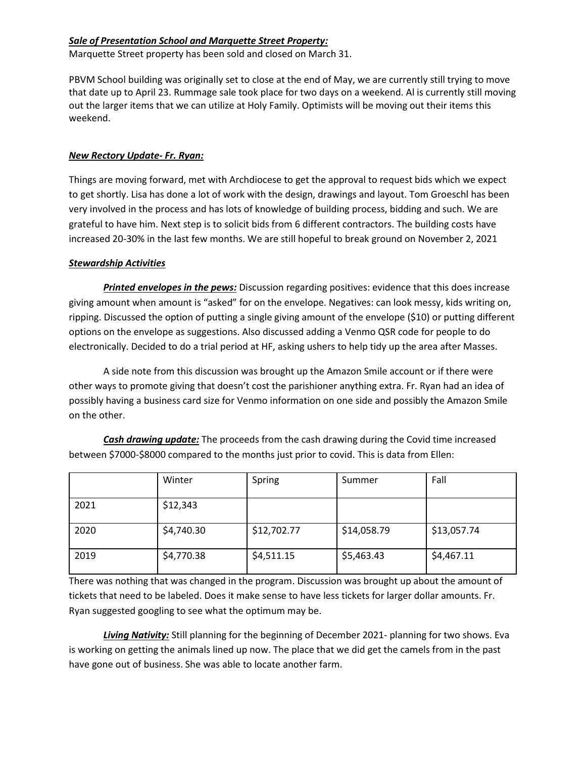# *Sale of Presentation School and Marquette Street Property:*

Marquette Street property has been sold and closed on March 31.

PBVM School building was originally set to close at the end of May, we are currently still trying to move that date up to April 23. Rummage sale took place for two days on a weekend. Al is currently still moving out the larger items that we can utilize at Holy Family. Optimists will be moving out their items this weekend.

#### *New Rectory Update- Fr. Ryan:*

Things are moving forward, met with Archdiocese to get the approval to request bids which we expect to get shortly. Lisa has done a lot of work with the design, drawings and layout. Tom Groeschl has been very involved in the process and has lots of knowledge of building process, bidding and such. We are grateful to have him. Next step is to solicit bids from 6 different contractors. The building costs have increased 20-30% in the last few months. We are still hopeful to break ground on November 2, 2021

## *Stewardship Activities*

*Printed envelopes in the pews:* Discussion regarding positives: evidence that this does increase giving amount when amount is "asked" for on the envelope. Negatives: can look messy, kids writing on, ripping. Discussed the option of putting a single giving amount of the envelope (\$10) or putting different options on the envelope as suggestions. Also discussed adding a Venmo QSR code for people to do electronically. Decided to do a trial period at HF, asking ushers to help tidy up the area after Masses.

A side note from this discussion was brought up the Amazon Smile account or if there were other ways to promote giving that doesn't cost the parishioner anything extra. Fr. Ryan had an idea of possibly having a business card size for Venmo information on one side and possibly the Amazon Smile on the other.

|      | Winter     | Spring      | Summer      | Fall        |
|------|------------|-------------|-------------|-------------|
| 2021 | \$12,343   |             |             |             |
| 2020 | \$4,740.30 | \$12,702.77 | \$14,058.79 | \$13,057.74 |
| 2019 | \$4,770.38 | \$4,511.15  | \$5,463.43  | \$4,467.11  |

*Cash drawing update:* The proceeds from the cash drawing during the Covid time increased between \$7000-\$8000 compared to the months just prior to covid. This is data from Ellen:

There was nothing that was changed in the program. Discussion was brought up about the amount of tickets that need to be labeled. Does it make sense to have less tickets for larger dollar amounts. Fr. Ryan suggested googling to see what the optimum may be.

*Living Nativity:* Still planning for the beginning of December 2021- planning for two shows. Eva is working on getting the animals lined up now. The place that we did get the camels from in the past have gone out of business. She was able to locate another farm.